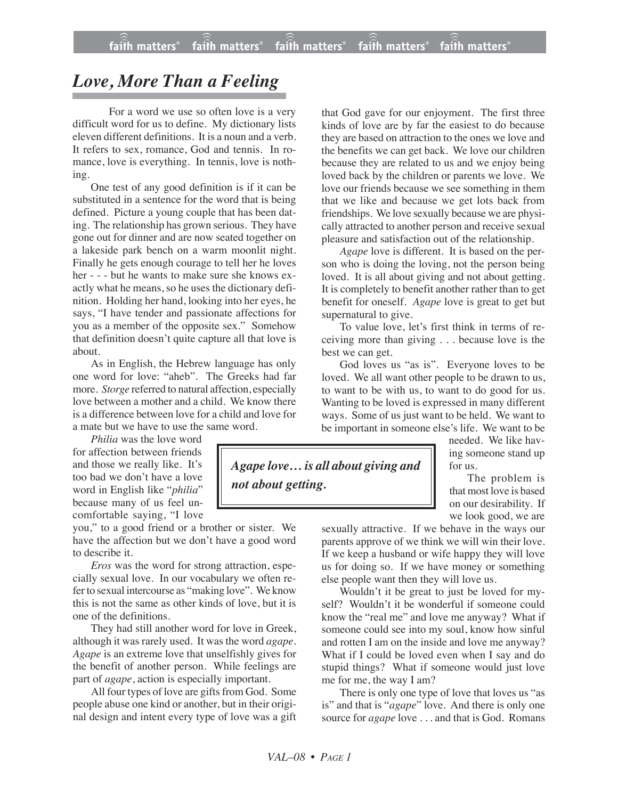## *Love, More Than a Feeling*

For a word we use so often love is a very difficult word for us to define. My dictionary lists eleven different definitions. It is a noun and a verb. It refers to sex, romance, God and tennis. In romance, love is everything. In tennis, love is nothing.

One test of any good definition is if it can be substituted in a sentence for the word that is being defined. Picture a young couple that has been dating. The relationship has grown serious. They have gone out for dinner and are now seated together on a lakeside park bench on a warm moonlit night. Finally he gets enough courage to tell her he loves her - - - but he wants to make sure she knows exactly what he means, so he uses the dictionary definition. Holding her hand, looking into her eyes, he says, "I have tender and passionate affections for you as a member of the opposite sex." Somehow that definition doesn't quite capture all that love is about.

As in English, the Hebrew language has only one word for love: "aheb". The Greeks had far more. *Storge* referred to natural affection, especially love between a mother and a child. We know there is a difference between love for a child and love for a mate but we have to use the same word.

*Philia* was the love word for affection between friends and those we really like. It's too bad we don't have a love word in English like "*philia*" because many of us feel uncomfortable saying, "I love

you," to a good friend or a brother or sister. We have the affection but we don't have a good word to describe it.

*Eros* was the word for strong attraction, especially sexual love. In our vocabulary we often referto sexual intercourse as "making love". We know this is not the same as other kinds of love, but it is one of the definitions.

They had still another word for love in Greek, although it was rarely used. It was the word *agape. Agape* is an extreme love that unselfishly gives for the benefit of another person. While feelings are part of *agape*, action is especially important.

All four types of love are gifts from God. Some people abuse one kind or another, but in their original design and intent every type of love was a gift that God gave for our enjoyment. The first three kinds of love are by far the easiest to do because they are based on attraction to the ones we love and the benefits we can get back. We love our children because they are related to us and we enjoy being loved back by the children or parents we love. We love our friends because we see something in them that we like and because we get lots back from friendships. We love sexually because we are physically attracted to another person and receive sexual pleasure and satisfaction out of the relationship.

*Agape* love is different. It is based on the person who is doing the loving, not the person being loved. It is all about giving and not about getting. It is completely to benefit another rather than to get benefit for oneself. *Agape* love is great to get but supernatural to give.

To value love, let's first think in terms of receiving more than giving . . . because love is the best we can get.

God loves us "as is". Everyone loves to be loved. We all want other people to be drawn to us, to want to be with us, to want to do good for us. Wanting to be loved is expressed in many different ways. Some of us just want to be held. We want to be important in someone else's life. We want to be

*Agape love… is all about giving and not about getting.*

needed. We like having someone stand up for us.

The problem is that most love is based on our desirability. If we look good, we are

sexually attractive. If we behave in the ways our parents approve of we think we will win their love. If we keep a husband or wife happy they will love us for doing so. If we have money or something else people want then they will love us.

Wouldn't it be great to just be loved for myself? Wouldn't it be wonderful if someone could know the "real me" and love me anyway? What if someone could see into my soul, know how sinful and rotten I am on the inside and love me anyway? What if I could be loved even when I say and do stupid things? What if someone would just love me for me, the way I am?

There is only one type of love that loves us "as is" and that is "*agape*" love. And there is only one source for *agape* love . . . and that is God. Romans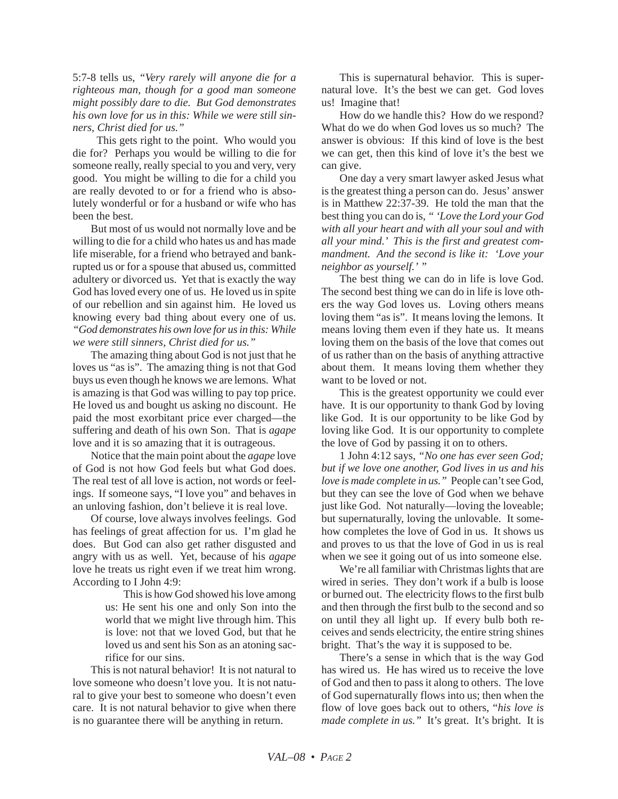5:7-8 tells us, *"Very rarely will anyone die for a righteous man, though for a good man someone might possibly dare to die. But God demonstrates his own love for us in this: While we were still sinners, Christ died for us."*

This gets right to the point. Who would you die for? Perhaps you would be willing to die for someone really, really special to you and very, very good. You might be willing to die for a child you are really devoted to or for a friend who is absolutely wonderful or for a husband or wife who has been the best.

But most of us would not normally love and be willing to die for a child who hates us and has made life miserable, for a friend who betrayed and bankrupted us or for a spouse that abused us, committed adultery or divorced us. Yet that is exactly the way God has loved every one of us. He loved us in spite of our rebellion and sin against him. He loved us knowing every bad thing about every one of us. *"God demonstrates his own love for us in this: While we were still sinners, Christ died for us."*

The amazing thing about God is not just that he loves us "as is". The amazing thing is not that God buys us even though he knows we are lemons. What is amazing is that God was willing to pay top price. He loved us and bought us asking no discount. He paid the most exorbitant price ever charged—the suffering and death of his own Son. That is *agape* love and it is so amazing that it is outrageous.

Notice that the main point about the *agape* love of God is not how God feels but what God does. The real test of all love is action, not words or feelings. If someone says, "I love you" and behaves in an unloving fashion, don't believe it is real love.

Of course, love always involves feelings. God has feelings of great affection for us. I'm glad he does. But God can also get rather disgusted and angry with us as well. Yet, because of his *agape* love he treats us right even if we treat him wrong. According to I John 4:9:

> This is how God showed his love among us: He sent his one and only Son into the world that we might live through him. This is love: not that we loved God, but that he loved us and sent his Son as an atoning sacrifice for our sins.

This is not natural behavior! It is not natural to love someone who doesn't love you. It is not natural to give your best to someone who doesn't even care. It is not natural behavior to give when there is no guarantee there will be anything in return.

This is supernatural behavior. This is supernatural love. It's the best we can get. God loves us! Imagine that!

How do we handle this? How do we respond? What do we do when God loves us so much? The answer is obvious: If this kind of love is the best we can get, then this kind of love it's the best we can give.

One day a very smart lawyer asked Jesus what is the greatest thing a person can do. Jesus' answer is in Matthew 22:37-39. He told the man that the best thing you can do is, *" 'Love the Lord your God with all your heart and with all your soul and with all your mind.' This is the first and greatest commandment. And the second is like it: 'Love your neighbor as yourself.' "*

The best thing we can do in life is love God. The second best thing we can do in life is love others the way God loves us. Loving others means loving them "as is". It means loving the lemons. It means loving them even if they hate us. It means loving them on the basis of the love that comes out of us rather than on the basis of anything attractive about them. It means loving them whether they want to be loved or not.

This is the greatest opportunity we could ever have. It is our opportunity to thank God by loving like God. It is our opportunity to be like God by loving like God. It is our opportunity to complete the love of God by passing it on to others.

1 John 4:12 says, *"No one has ever seen God; but if we love one another, God lives in us and his love is made complete in us."* People can't see God, but they can see the love of God when we behave just like God. Not naturally—loving the loveable; but supernaturally, loving the unlovable. It somehow completes the love of God in us. It shows us and proves to us that the love of God in us is real when we see it going out of us into someone else.

We're all familiar with Christmas lights that are wired in series. They don't work if a bulb is loose or burned out. The electricity flows to the first bulb and then through the first bulb to the second and so on until they all light up. If every bulb both receives and sends electricity, the entire string shines bright. That's the way it is supposed to be.

There's a sense in which that is the way God has wired us. He has wired us to receive the love of God and then to pass it along to others. The love of God supernaturally flows into us; then when the flow of love goes back out to others, "*his love is made complete in us."* It's great. It's bright. It is